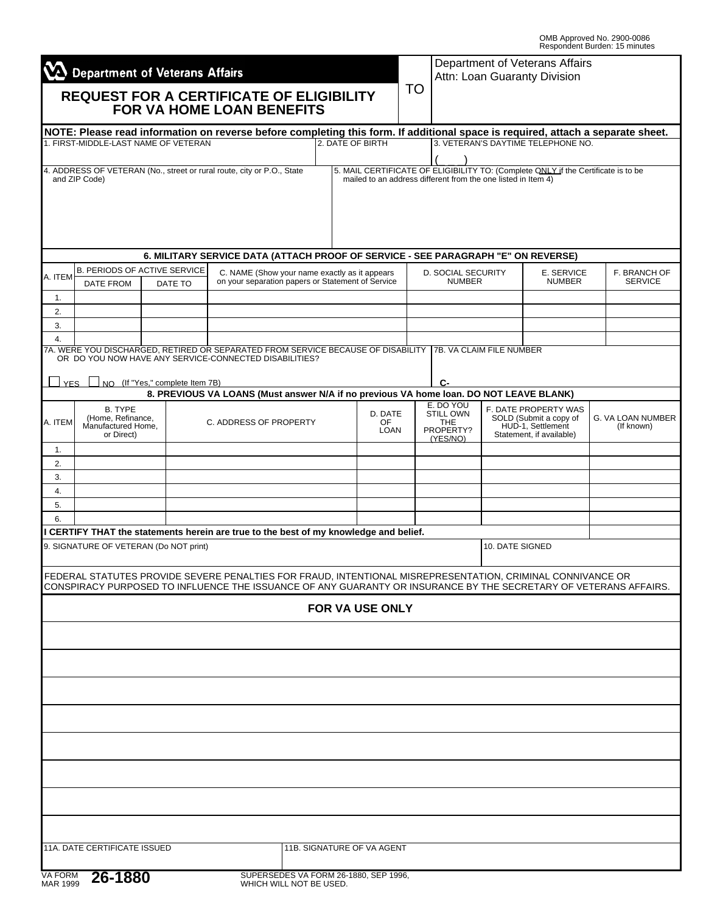OMB Approved No. 2900-0086 Respondent Burden: 15 minutes

| $\sum$ Department of Veterans Affairs |                                                       |  |                        |                                                                                                                                                                                                                                |                                                   |                                     |                                       |                                                  | Department of Veterans Affairs<br>Attn: Loan Guaranty Division |                                                                         |                                                                                   |                                 |  |
|---------------------------------------|-------------------------------------------------------|--|------------------------|--------------------------------------------------------------------------------------------------------------------------------------------------------------------------------------------------------------------------------|---------------------------------------------------|-------------------------------------|---------------------------------------|--------------------------------------------------|----------------------------------------------------------------|-------------------------------------------------------------------------|-----------------------------------------------------------------------------------|---------------------------------|--|
|                                       |                                                       |  |                        | <b>REQUEST FOR A CERTIFICATE OF ELIGIBILITY</b><br><b>FOR VA HOME LOAN BENEFITS</b>                                                                                                                                            | TO                                                |                                     |                                       |                                                  |                                                                |                                                                         |                                                                                   |                                 |  |
|                                       | 1. FIRST-MIDDLE-LAST NAME OF VETERAN                  |  |                        | NOTE: Please read information on reverse before completing this form. If additional space is required, attach a separate sheet.                                                                                                |                                                   |                                     | 2. DATE OF BIRTH                      |                                                  |                                                                |                                                                         | 3. VETERAN'S DAYTIME TELEPHONE NO.                                                |                                 |  |
|                                       |                                                       |  |                        |                                                                                                                                                                                                                                |                                                   |                                     |                                       |                                                  |                                                                |                                                                         |                                                                                   |                                 |  |
|                                       | and ZIP Code)                                         |  |                        | 4. ADDRESS OF VETERAN (No., street or rural route, city or P.O., State                                                                                                                                                         |                                                   |                                     |                                       |                                                  | mailed to an address different from the one listed in Item 4)  |                                                                         | 5. MAIL CERTIFICATE OF ELIGIBILITY TO: (Complete ONLY if the Certificate is to be |                                 |  |
|                                       |                                                       |  |                        | 6. MILITARY SERVICE DATA (ATTACH PROOF OF SERVICE - SEE PARAGRAPH "E" ON REVERSE)                                                                                                                                              |                                                   |                                     |                                       |                                                  |                                                                |                                                                         |                                                                                   |                                 |  |
|                                       | <b>B. PERIODS OF ACTIVE SERVICE</b>                   |  |                        | C. NAME (Show your name exactly as it appears                                                                                                                                                                                  |                                                   |                                     |                                       |                                                  | D. SOCIAL SECURITY                                             | E. SERVICE                                                              |                                                                                   | F. BRANCH OF                    |  |
| A. ITEM                               | DATE FROM                                             |  | DATE TO                |                                                                                                                                                                                                                                | on your separation papers or Statement of Service |                                     |                                       |                                                  | <b>NUMBER</b>                                                  | <b>NUMBER</b>                                                           |                                                                                   | <b>SERVICE</b>                  |  |
| 1.                                    |                                                       |  |                        |                                                                                                                                                                                                                                |                                                   |                                     |                                       |                                                  |                                                                |                                                                         |                                                                                   |                                 |  |
| 2.<br>3.                              |                                                       |  |                        |                                                                                                                                                                                                                                |                                                   |                                     |                                       |                                                  |                                                                |                                                                         |                                                                                   |                                 |  |
| 4.                                    |                                                       |  |                        |                                                                                                                                                                                                                                |                                                   |                                     |                                       |                                                  |                                                                |                                                                         |                                                                                   |                                 |  |
|                                       |                                                       |  |                        | 7A. WERE YOU DISCHARGED, RETIRED OR SEPARATED FROM SERVICE BECAUSE OF DISABILITY   7B. VA CLAIM FILE NUMBER<br>OR DO YOU NOW HAVE ANY SERVICE-CONNECTED DISABILITIES?                                                          |                                                   |                                     |                                       |                                                  |                                                                |                                                                         |                                                                                   |                                 |  |
| YFS                                   | NO (If "Yes," complete Item 7B)                       |  |                        | 8. PREVIOUS VA LOANS (Must answer N/A if no previous VA home loan. DO NOT LEAVE BLANK)                                                                                                                                         |                                                   |                                     |                                       |                                                  | C-                                                             |                                                                         |                                                                                   |                                 |  |
|                                       | <b>B. TYPE</b>                                        |  |                        |                                                                                                                                                                                                                                |                                                   |                                     |                                       |                                                  | E. DO YOU                                                      |                                                                         | F. DATE PROPERTY WAS                                                              |                                 |  |
| A. ITEM                               | (Home, Refinance,<br>Manufactured Home,<br>or Direct) |  | C. ADDRESS OF PROPERTY |                                                                                                                                                                                                                                |                                                   | D. DATE<br><b>OF</b><br><b>LOAN</b> |                                       | <b>STILL OWN</b><br>THE<br>PROPERTY?<br>(YES/NO) |                                                                | SOLD (Submit a copy of<br>HUD-1, Settlement<br>Statement, if available) |                                                                                   | G. VA LOAN NUMBER<br>(If known) |  |
| 1.                                    |                                                       |  |                        |                                                                                                                                                                                                                                |                                                   |                                     |                                       |                                                  |                                                                |                                                                         |                                                                                   |                                 |  |
| 2.                                    |                                                       |  |                        |                                                                                                                                                                                                                                |                                                   |                                     |                                       |                                                  |                                                                |                                                                         |                                                                                   |                                 |  |
| 3.<br>4.                              |                                                       |  |                        |                                                                                                                                                                                                                                |                                                   |                                     |                                       |                                                  |                                                                |                                                                         |                                                                                   |                                 |  |
| 5.                                    |                                                       |  |                        |                                                                                                                                                                                                                                |                                                   |                                     |                                       |                                                  |                                                                |                                                                         |                                                                                   |                                 |  |
| 6.                                    |                                                       |  |                        |                                                                                                                                                                                                                                |                                                   |                                     |                                       |                                                  |                                                                |                                                                         |                                                                                   |                                 |  |
|                                       | 9. SIGNATURE OF VETERAN (Do NOT print)                |  |                        | I CERTIFY THAT the statements herein are true to the best of my knowledge and belief.                                                                                                                                          |                                                   |                                     |                                       |                                                  |                                                                | 10. DATE SIGNED                                                         |                                                                                   |                                 |  |
|                                       |                                                       |  |                        |                                                                                                                                                                                                                                |                                                   |                                     |                                       |                                                  |                                                                |                                                                         |                                                                                   |                                 |  |
|                                       |                                                       |  |                        | FEDERAL STATUTES PROVIDE SEVERE PENALTIES FOR FRAUD, INTENTIONAL MISREPRESENTATION, CRIMINAL CONNIVANCE OR<br>CONSPIRACY PURPOSED TO INFLUENCE THE ISSUANCE OF ANY GUARANTY OR INSURANCE BY THE SECRETARY OF VETERANS AFFAIRS. |                                                   |                                     |                                       |                                                  |                                                                |                                                                         |                                                                                   |                                 |  |
|                                       |                                                       |  |                        |                                                                                                                                                                                                                                |                                                   |                                     | <b>FOR VA USE ONLY</b>                |                                                  |                                                                |                                                                         |                                                                                   |                                 |  |
|                                       |                                                       |  |                        |                                                                                                                                                                                                                                |                                                   |                                     |                                       |                                                  |                                                                |                                                                         |                                                                                   |                                 |  |
|                                       |                                                       |  |                        |                                                                                                                                                                                                                                |                                                   |                                     |                                       |                                                  |                                                                |                                                                         |                                                                                   |                                 |  |
|                                       |                                                       |  |                        |                                                                                                                                                                                                                                |                                                   |                                     |                                       |                                                  |                                                                |                                                                         |                                                                                   |                                 |  |
|                                       |                                                       |  |                        |                                                                                                                                                                                                                                |                                                   |                                     |                                       |                                                  |                                                                |                                                                         |                                                                                   |                                 |  |
|                                       |                                                       |  |                        |                                                                                                                                                                                                                                |                                                   |                                     |                                       |                                                  |                                                                |                                                                         |                                                                                   |                                 |  |
|                                       |                                                       |  |                        |                                                                                                                                                                                                                                |                                                   |                                     |                                       |                                                  |                                                                |                                                                         |                                                                                   |                                 |  |
|                                       |                                                       |  |                        |                                                                                                                                                                                                                                |                                                   |                                     |                                       |                                                  |                                                                |                                                                         |                                                                                   |                                 |  |
|                                       |                                                       |  |                        |                                                                                                                                                                                                                                |                                                   |                                     |                                       |                                                  |                                                                |                                                                         |                                                                                   |                                 |  |
|                                       |                                                       |  |                        |                                                                                                                                                                                                                                |                                                   |                                     |                                       |                                                  |                                                                |                                                                         |                                                                                   |                                 |  |
|                                       |                                                       |  |                        |                                                                                                                                                                                                                                |                                                   |                                     |                                       |                                                  |                                                                |                                                                         |                                                                                   |                                 |  |
|                                       |                                                       |  |                        |                                                                                                                                                                                                                                |                                                   |                                     |                                       |                                                  |                                                                |                                                                         |                                                                                   |                                 |  |
|                                       |                                                       |  |                        |                                                                                                                                                                                                                                |                                                   |                                     |                                       |                                                  |                                                                |                                                                         |                                                                                   |                                 |  |
|                                       | <b>11A. DATE CERTIFICATE ISSUED</b>                   |  |                        |                                                                                                                                                                                                                                |                                                   |                                     | 11B. SIGNATURE OF VA AGENT            |                                                  |                                                                |                                                                         |                                                                                   |                                 |  |
|                                       |                                                       |  |                        |                                                                                                                                                                                                                                |                                                   |                                     |                                       |                                                  |                                                                |                                                                         |                                                                                   |                                 |  |
| VA FORM<br>MAR 1999                   | 26-1880                                               |  |                        |                                                                                                                                                                                                                                | WHICH WILL NOT BE USED.                           |                                     | SUPERSEDES VA FORM 26-1880, SEP 1996, |                                                  |                                                                |                                                                         |                                                                                   |                                 |  |
|                                       |                                                       |  |                        |                                                                                                                                                                                                                                |                                                   |                                     |                                       |                                                  |                                                                |                                                                         |                                                                                   |                                 |  |